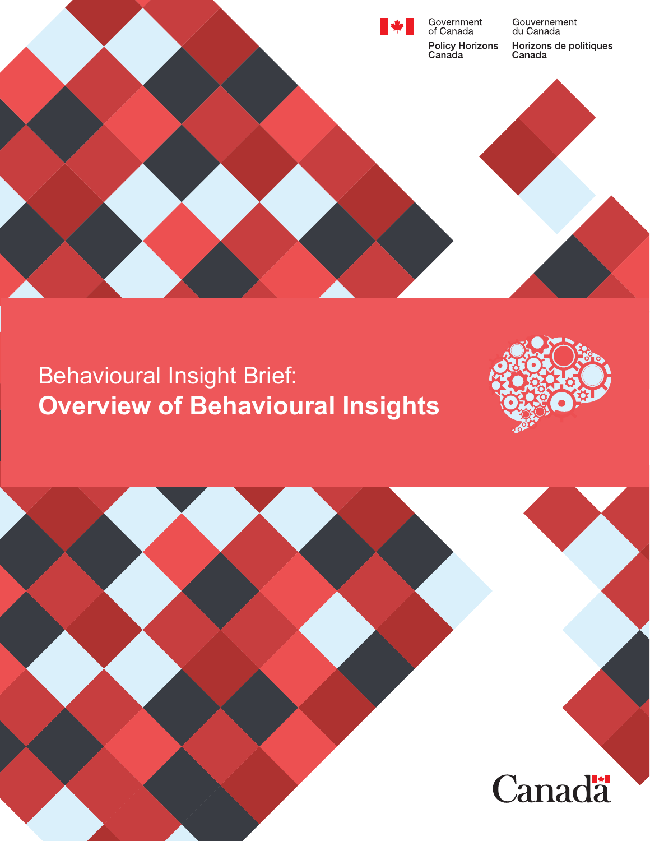

# Behavioural Insight Brief: **Overview of Behavioural Insights**



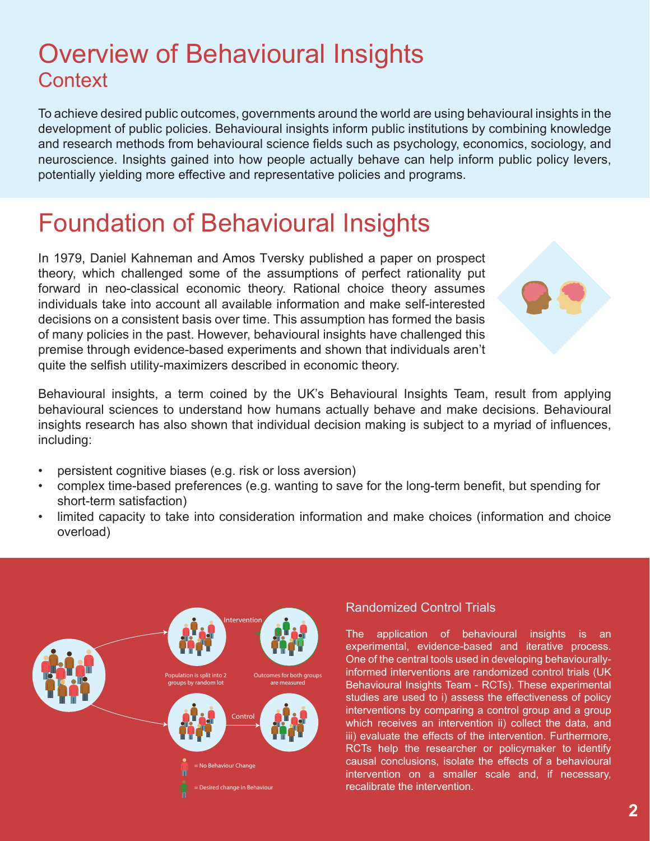## Overview of Behavioural Insights **Context**

To achieve desired public outcomes, governments around the world are using behavioural insights in the development of public policies. Behavioural insights inform public institutions by combining knowledge and research methods from behavioural science fields such as psychology, economics, sociology, and neuroscience. Insights gained into how people actually behave can help inform public policy levers, potentially yielding more effective and representative policies and programs.

## Foundation of Behavioural Insights

In 1979, Daniel Kahneman and Amos Tversky published a paper on prospect theory, which challenged some of the assumptions of perfect rationality put forward in neo-classical economic theory. Rational choice theory assumes individuals take into account all available information and make self-interested decisions on a consistent basis over time. This assumption has formed the basis of many policies in the past. However, behavioural insights have challenged this premise through evidence-based experiments and shown that individuals aren't quite the selfish utility-maximizers described in economic theory.



Behavioural insights, a term coined by the UK's Behavioural Insights Team, result from applying behavioural sciences to understand how humans actually behave and make decisions. Behavioural insights research has also shown that individual decision making is subject to a myriad of influences, including:

- persistent cognitive biases (e.g. risk or loss aversion)
- complex time-based preferences (e.g. wanting to save for the long-term benefit, but spending for short-term satisfaction)
- limited capacity to take into consideration information and make choices (information and choice overload)



#### Randomized Control Trials

The application of behavioural insights is an experimental, evidence-based and iterative process. One of the central tools used in developing behaviourallyinformed interventions are randomized control trials (UK Behavioural Insights Team - RCTs). These experimental studies are used to i) assess the effectiveness of policy interventions by comparing a control group and a group which receives an intervention ii) collect the data, and iii) evaluate the effects of the intervention. Furthermore, RCTs help the researcher or policymaker to identify causal conclusions, isolate the effects of a behavioural intervention on a smaller scale and, if necessary, recalibrate the intervention.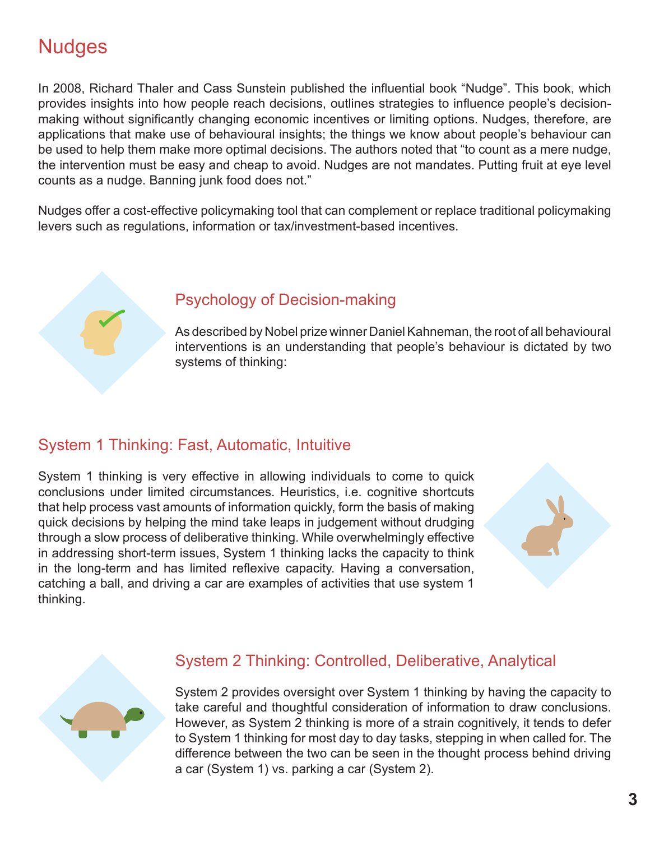### **Nudges**

In 2008, Richard Thaler and Cass Sunstein published the influential book "Nudge". This book, which provides insights into how people reach decisions, outlines strategies to influence people's decisionmaking without significantly changing economic incentives or limiting options. Nudges, therefore, are applications that make use of behavioural insights; the things we know about people's behaviour can be used to help them make more optimal decisions. The authors noted that "to count as a mere nudge, the intervention must be easy and cheap to avoid. Nudges are not mandates. Putting fruit at eye level counts as a nudge. Banning junk food does not."

Nudges offer a cost-effective policymaking tool that can complement or replace traditional policymaking levers such as regulations, information or tax/investment-based incentives.



#### Psychology of Decision-making

As described by Nobel prize winner Daniel Kahneman, the root of all behavioural interventions is an understanding that people's behaviour is dictated by two systems of thinking:

#### System 1 Thinking: Fast, Automatic, Intuitive

System 1 thinking is very effective in allowing individuals to come to quick conclusions under limited circumstances. Heuristics, i.e. cognitive shortcuts that help process vast amounts of information quickly, form the basis of making quick decisions by helping the mind take leaps in judgement without drudging through a slow process of deliberative thinking. While overwhelmingly effective in addressing short-term issues, System 1 thinking lacks the capacity to think in the long-term and has limited reflexive capacity. Having a conversation, catching a ball, and driving a car are examples of activities that use system 1 thinking.





#### System 2 Thinking: Controlled, Deliberative, Analytical

System 2 provides oversight over System 1 thinking by having the capacity to take careful and thoughtful consideration of information to draw conclusions. However, as System 2 thinking is more of a strain cognitively, it tends to defer to System 1 thinking for most day to day tasks, stepping in when called for. The difference between the two can be seen in the thought process behind driving a car (System 1) vs. parking a car (System 2).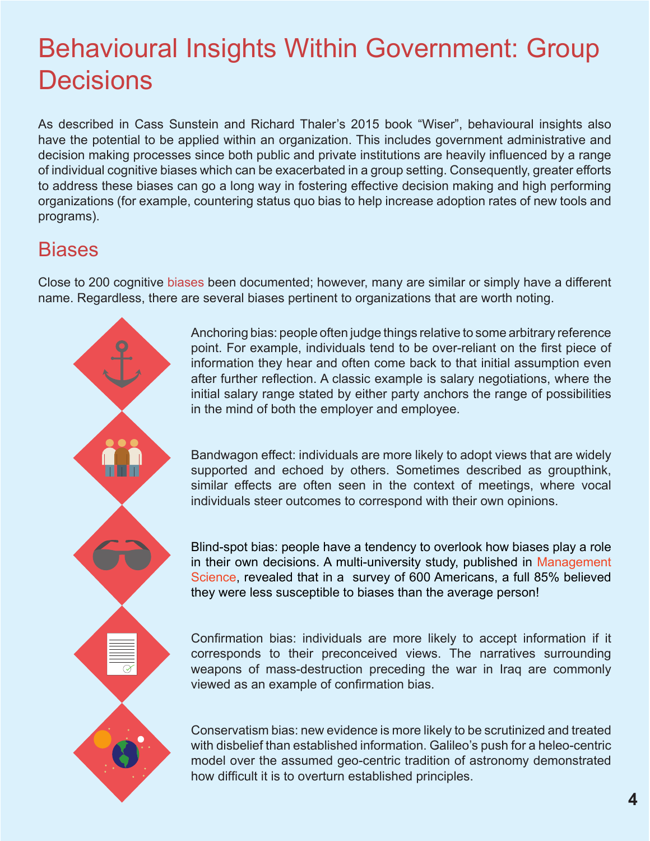# Behavioural Insights Within Government: Group **Decisions**

As described in Cass Sunstein and Richard Thaler's 2015 book "Wiser", behavioural insights also have the potential to be applied within an organization. This includes government administrative and decision making processes since both public and private institutions are heavily influenced by a range of individual cognitive biases which can be exacerbated in a group setting. Consequently, greater efforts to address these biases can go a long way in fostering effective decision making and high performing organizations (for example, countering status quo bias to help increase adoption rates of new tools and programs).

### **Biases**

Close to 200 cognitive [biases](https://en.wikipedia.org/wiki/List_of_cognitive_biases ) been documented; however, many are similar or simply have a different name. Regardless, there are several biases pertinent to organizations that are worth noting.



Anchoring bias: people often judge things relative to some arbitrary reference point. For example, individuals tend to be over-reliant on the first piece of information they hear and often come back to that initial assumption even after further reflection. A classic example is salary negotiations, where the initial salary range stated by either party anchors the range of possibilities in the mind of both the employer and employee.

Bandwagon effect: individuals are more likely to adopt views that are widely supported and echoed by others. Sometimes described as groupthink, similar effects are often seen in the context of meetings, where vocal individuals steer outcomes to correspond with their own opinions.

Blind-spot bias: people have a tendency to overlook how biases play a role in their own decisions. A multi-university study, published in [Management](http://pubsonline.informs.org/doi/abs/10.1287/mnsc.2014.2096)  [Science,](http://pubsonline.informs.org/doi/abs/10.1287/mnsc.2014.2096) revealed that in a survey of 600 Americans, a full 85% believed they were less susceptible to biases than the average person!

Confirmation bias: individuals are more likely to accept information if it corresponds to their preconceived views. The narratives surrounding weapons of mass-destruction preceding the war in Iraq are commonly viewed as an example of confirmation bias.

Conservatism bias: new evidence is more likely to be scrutinized and treated with disbelief than established information. Galileo's push for a heleo-centric model over the assumed geo-centric tradition of astronomy demonstrated how difficult it is to overturn established principles.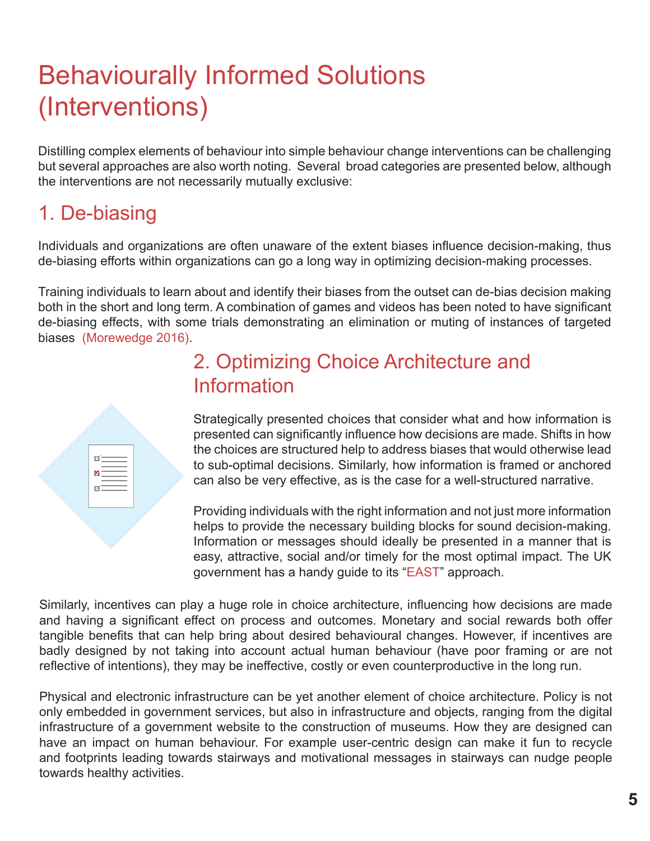# Behaviourally Informed Solutions (Interventions)

Distilling complex elements of behaviour into simple behaviour change interventions can be challenging but several approaches are also worth noting. Several broad categories are presented below, although the interventions are not necessarily mutually exclusive:

## 1. De-biasing

Individuals and organizations are often unaware of the extent biases influence decision-making, thus de-biasing efforts within organizations can go a long way in optimizing decision-making processes.

Training individuals to learn about and identify their biases from the outset can de-bias decision making both in the short and long term. A combination of games and videos has been noted to have significant de-biasing effects, with some trials demonstrating an elimination or muting of instances of targeted biases [\(Morewedge 2016\)](https://hbr.org/2015/10/how-a-video-game-helped-people-make-better-decisions ).

| $\begin{picture}(20,5) \put(0,0){\line(1,0){155}} \put(0,0){\line(1,0){155}} \put(0,0){\line(1,0){155}} \put(0,0){\line(1,0){155}} \put(0,0){\line(1,0){155}} \put(0,0){\line(1,0){155}} \put(0,0){\line(1,0){155}} \put(0,0){\line(1,0){155}} \put(0,0){\line(1,0){155}} \put(0,0){\line(1,0){155}} \put(0,0){\line(1,0){155}} \put(0,0){\line(1,$<br>$\frac{1}{\sqrt{2}}$ |  |
|-----------------------------------------------------------------------------------------------------------------------------------------------------------------------------------------------------------------------------------------------------------------------------------------------------------------------------------------------------------------------------|--|
|                                                                                                                                                                                                                                                                                                                                                                             |  |

## 2. Optimizing Choice Architecture and Information

Strategically presented choices that consider what and how information is presented can significantly influence how decisions are made. Shifts in how the choices are structured help to address biases that would otherwise lead to sub-optimal decisions. Similarly, how information is framed or anchored can also be very effective, as is the case for a well-structured narrative.

Providing individuals with the right information and not just more information helps to provide the necessary building blocks for sound decision-making. Information or messages should ideally be presented in a manner that is easy, attractive, social and/or timely for the most optimal impact. The UK government has a handy guide to its "[EAST](http://www.behaviouralinsights.co.uk/publications/east-four-simple-ways-to-apply-behavioural-insights/ )" approach.

Similarly, incentives can play a huge role in choice architecture, influencing how decisions are made and having a significant effect on process and outcomes. Monetary and social rewards both offer tangible benefits that can help bring about desired behavioural changes. However, if incentives are badly designed by not taking into account actual human behaviour (have poor framing or are not reflective of intentions), they may be ineffective, costly or even counterproductive in the long run.

Physical and electronic infrastructure can be yet another element of choice architecture. Policy is not only embedded in government services, but also in infrastructure and objects, ranging from the digital infrastructure of a government website to the construction of museums. How they are designed can have an impact on human behaviour. For example user-centric design can make it fun to recycle and footprints leading towards stairways and motivational messages in stairways can nudge people towards healthy activities.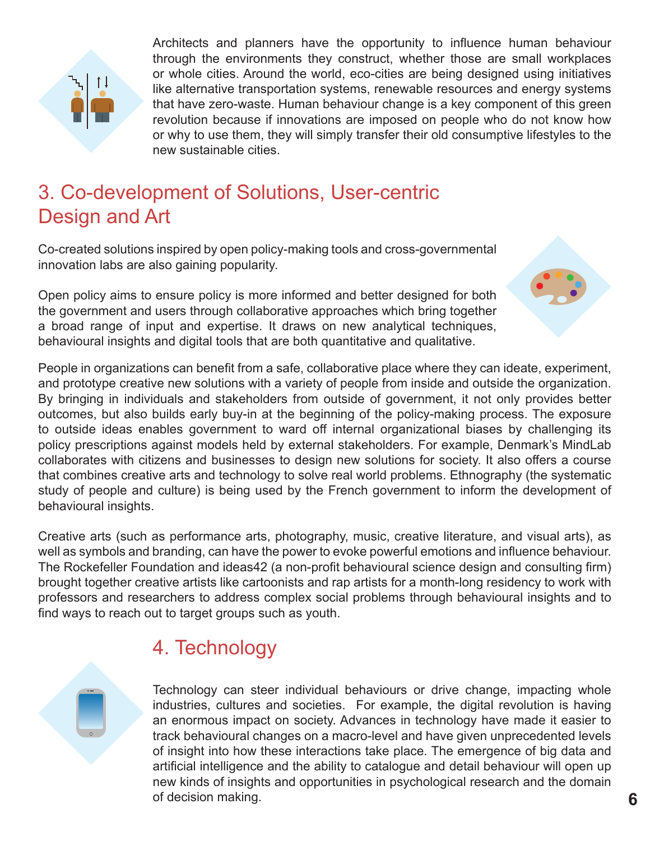

Architects and planners have the opportunity to influence human behaviour through the environments they construct, whether those are small workplaces or whole cities. Around the world, eco-cities are being designed using initiatives like alternative transportation systems, renewable resources and energy systems that have zero-waste. Human behaviour change is a key component of this green revolution because if innovations are imposed on people who do not know how or why to use them, they will simply transfer their old consumptive lifestyles to the new sustainable cities.

### 3. Co-development of Solutions, User-centric Design and Art

Co-created solutions inspired by open policy-making tools and cross-governmental innovation labs are also gaining popularity.

Open policy aims to ensure policy is more informed and better designed for both the government and users through collaborative approaches which bring together a broad range of input and expertise. It draws on new analytical techniques, behavioural insights and digital tools that are both quantitative and qualitative.

People in organizations can benefit from a safe, collaborative place where they can ideate, experiment, and prototype creative new solutions with a variety of people from inside and outside the organization. By bringing in individuals and stakeholders from outside of government, it not only provides better outcomes, but also builds early buy-in at the beginning of the policy-making process. The exposure to outside ideas enables government to ward off internal organizational biases by challenging its policy prescriptions against models held by external stakeholders. For example, Denmark's MindLab collaborates with citizens and businesses to design new solutions for society. It also offers a course that combines creative arts and technology to solve real world problems. Ethnography (the systematic study of people and culture) is being used by the French government to inform the development of behavioural insights.

Creative arts (such as performance arts, photography, music, creative literature, and visual arts), as well as symbols and branding, can have the power to evoke powerful emotions and influence behaviour. The Rockefeller Foundation and ideas42 (a non-profit behavioural science design and consulting firm) brought together creative artists like cartoonists and rap artists for a month-long residency to work with professors and researchers to address complex social problems through behavioural insights and to find ways to reach out to target groups such as youth.

### 4. Technology

Technology can steer individual behaviours or drive change, impacting whole industries, cultures and societies. For example, the digital revolution is having an enormous impact on society. Advances in technology have made it easier to track behavioural changes on a macro-level and have given unprecedented levels of insight into how these interactions take place. The emergence of big data and artificial intelligence and the ability to catalogue and detail behaviour will open up new kinds of insights and opportunities in psychological research and the domain of decision making.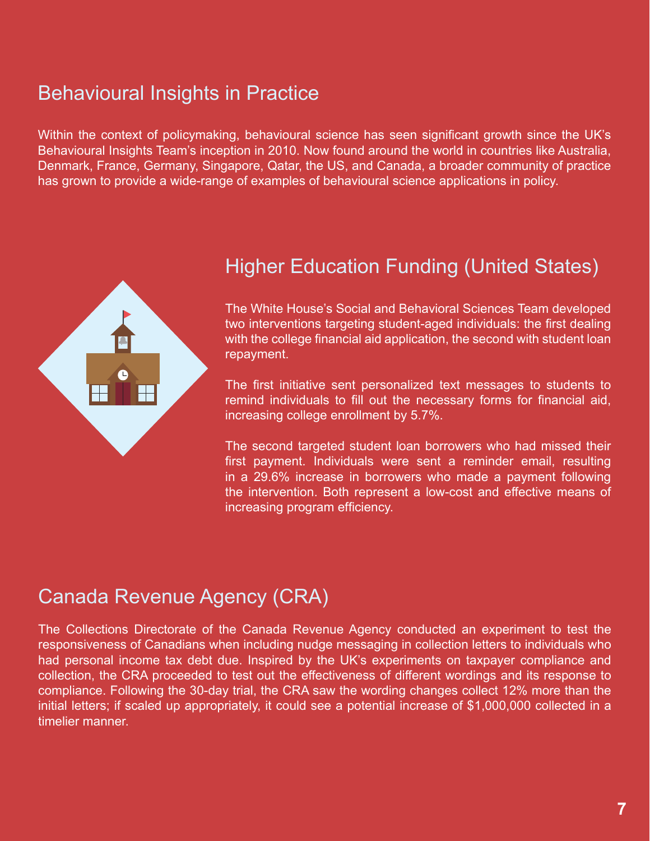### Behavioural Insights in Practice

Within the context of policymaking, behavioural science has seen significant growth since the UK's Behavioural Insights Team's inception in 2010. Now found around the world in countries like Australia, Denmark, France, Germany, Singapore, Qatar, the US, and Canada, a broader community of practice has grown to provide a wide-range of examples of behavioural science applications in policy.



#### Higher Education Funding (United States)

The White House's Social and Behavioral Sciences Team developed two interventions targeting student-aged individuals: the first dealing with the college financial aid application, the second with student loan repayment.

The first initiative sent personalized text messages to students to remind individuals to fill out the necessary forms for financial aid, increasing college enrollment by 5.7%.

The second targeted student loan borrowers who had missed their first payment. Individuals were sent a reminder email, resulting in a 29.6% increase in borrowers who made a payment following the intervention. Both represent a low-cost and effective means of increasing program efficiency.

#### Canada Revenue Agency (CRA)

The Collections Directorate of the Canada Revenue Agency conducted an experiment to test the responsiveness of Canadians when including nudge messaging in collection letters to individuals who had personal income tax debt due. Inspired by the UK's experiments on taxpayer compliance and collection, the CRA proceeded to test out the effectiveness of different wordings and its response to compliance. Following the 30-day trial, the CRA saw the wording changes collect 12% more than the initial letters; if scaled up appropriately, it could see a potential increase of \$1,000,000 collected in a timelier manner.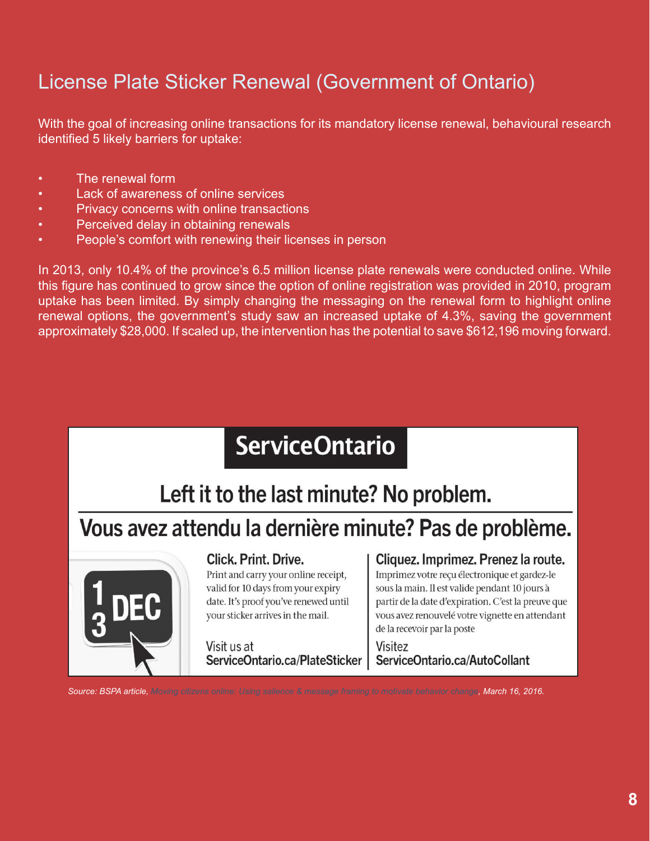## License Plate Sticker Renewal (Government of Ontario)

With the goal of increasing online transactions for its mandatory license renewal, behavioural research identified 5 likely barriers for uptake:

- The renewal form
- Lack of awareness of online services
- Privacy concerns with online transactions
- Perceived delay in obtaining renewals
- People's comfort with renewing their licenses in person

In 2013, only 10.4% of the province's 6.5 million license plate renewals were conducted online. While this figure has continued to grow since the option of online registration was provided in 2010, program uptake has been limited. By simply changing the messaging on the renewal form to highlight online renewal options, the government's study saw an increased uptake of 4.3%, saving the government approximately \$28,000. If scaled up, the intervention has the potential to save \$612,196 moving forward.

# **ServiceOntario**

Left it to the last minute? No problem.

## Vous avez attendu la dernière minute? Pas de problème.



#### **Click, Print, Drive.**

Print and carry your online receipt, valid for 10 days from your expiry date. It's proof you've renewed until your sticker arrives in the mail.

Visit us at ServiceOntario.ca/PlateSticker

#### Cliquez. Imprimez. Prenez la route.

Imprimez votre recu électronique et gardez-le sous la main. Il est valide pendant 10 jours à partir de la date d'expiration. C'est la preuve que vous avez renouvelé votre vignette en attendant de la recevoir par la poste

#### Visitez ServiceOntario.ca/AutoCollant

*Source: BSPA article, [Moving citizens online: Using salience & message framing to motivate behavior change,](https://behavioralpolicy.org/article/moving-citizens-online-using-salience-message-framing-to-motivate-behavior-change/ ) March 16, 2016.*